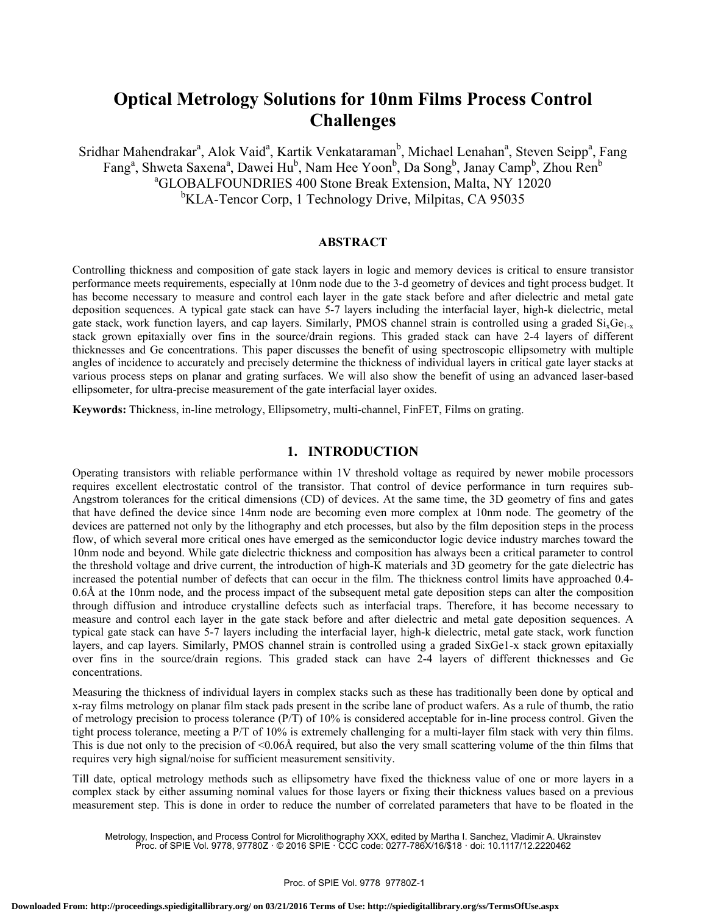# **Optical Metrology Solutions for 10nm Films Process Control Challenges**

Sridhar Mahendrakar<sup>a</sup>, Alok Vaid<sup>a</sup>, Kartik Venkataraman<sup>b</sup>, Michael Lenahan<sup>a</sup>, Steven Seipp<sup>a</sup>, Fang Fang<sup>a</sup>, Shweta Saxena<sup>a</sup>, Dawei Hu<sup>b</sup>, Nam Hee Yoon<sup>b</sup>, Da Song<sup>b</sup>, Janay Camp<sup>b</sup>, Zhou Ren<sup>b</sup> a GLOBALFOUNDRIES 400 Stone Break Extension, Malta, NY 12020 <sup>b</sup>KLA-Tencor Corp, 1 Technology Drive, Milpitas, CA 95035

# **ABSTRACT**

Controlling thickness and composition of gate stack layers in logic and memory devices is critical to ensure transistor performance meets requirements, especially at 10nm node due to the 3-d geometry of devices and tight process budget. It has become necessary to measure and control each layer in the gate stack before and after dielectric and metal gate deposition sequences. A typical gate stack can have 5-7 layers including the interfacial layer, high-k dielectric, metal gate stack, work function layers, and cap layers. Similarly, PMOS channel strain is controlled using a graded  $Si_xGe_{1-x}$ stack grown epitaxially over fins in the source/drain regions. This graded stack can have 2-4 layers of different thicknesses and Ge concentrations. This paper discusses the benefit of using spectroscopic ellipsometry with multiple angles of incidence to accurately and precisely determine the thickness of individual layers in critical gate layer stacks at various process steps on planar and grating surfaces. We will also show the benefit of using an advanced laser-based ellipsometer, for ultra-precise measurement of the gate interfacial layer oxides.

**Keywords:** Thickness, in-line metrology, Ellipsometry, multi-channel, FinFET, Films on grating.

## **1. INTRODUCTION**

Operating transistors with reliable performance within 1V threshold voltage as required by newer mobile processors requires excellent electrostatic control of the transistor. That control of device performance in turn requires sub-Angstrom tolerances for the critical dimensions (CD) of devices. At the same time, the 3D geometry of fins and gates that have defined the device since 14nm node are becoming even more complex at 10nm node. The geometry of the devices are patterned not only by the lithography and etch processes, but also by the film deposition steps in the process flow, of which several more critical ones have emerged as the semiconductor logic device industry marches toward the 10nm node and beyond. While gate dielectric thickness and composition has always been a critical parameter to control the threshold voltage and drive current, the introduction of high-K materials and 3D geometry for the gate dielectric has increased the potential number of defects that can occur in the film. The thickness control limits have approached 0.4- 0.6Å at the 10nm node, and the process impact of the subsequent metal gate deposition steps can alter the composition through diffusion and introduce crystalline defects such as interfacial traps. Therefore, it has become necessary to measure and control each layer in the gate stack before and after dielectric and metal gate deposition sequences. A typical gate stack can have 5-7 layers including the interfacial layer, high-k dielectric, metal gate stack, work function layers, and cap layers. Similarly, PMOS channel strain is controlled using a graded SixGe1-x stack grown epitaxially over fins in the source/drain regions. This graded stack can have 2-4 layers of different thicknesses and Ge concentrations.

Measuring the thickness of individual layers in complex stacks such as these has traditionally been done by optical and x-ray films metrology on planar film stack pads present in the scribe lane of product wafers. As a rule of thumb, the ratio of metrology precision to process tolerance  $(P/T)$  of 10% is considered acceptable for in-line process control. Given the tight process tolerance, meeting a P/T of 10% is extremely challenging for a multi-layer film stack with very thin films. This is due not only to the precision of  $\leq 0.06\text{\AA}$  required, but also the very small scattering volume of the thin films that requires very high signal/noise for sufficient measurement sensitivity.

Till date, optical metrology methods such as ellipsometry have fixed the thickness value of one or more layers in a complex stack by either assuming nominal values for those layers or fixing their thickness values based on a previous measurement step. This is done in order to reduce the number of correlated parameters that have to be floated in the

Metrology, Inspection, and Process Control for Microlithography XXX, edited by Martha I. Sanchez, Vladimir A. Ukrainstev Proc. of SPIE Vol. 9778, 97780Z · © 2016 SPIE · CCC code: 0277-786X/16/\$18 · doi: 10.1117/12.2220462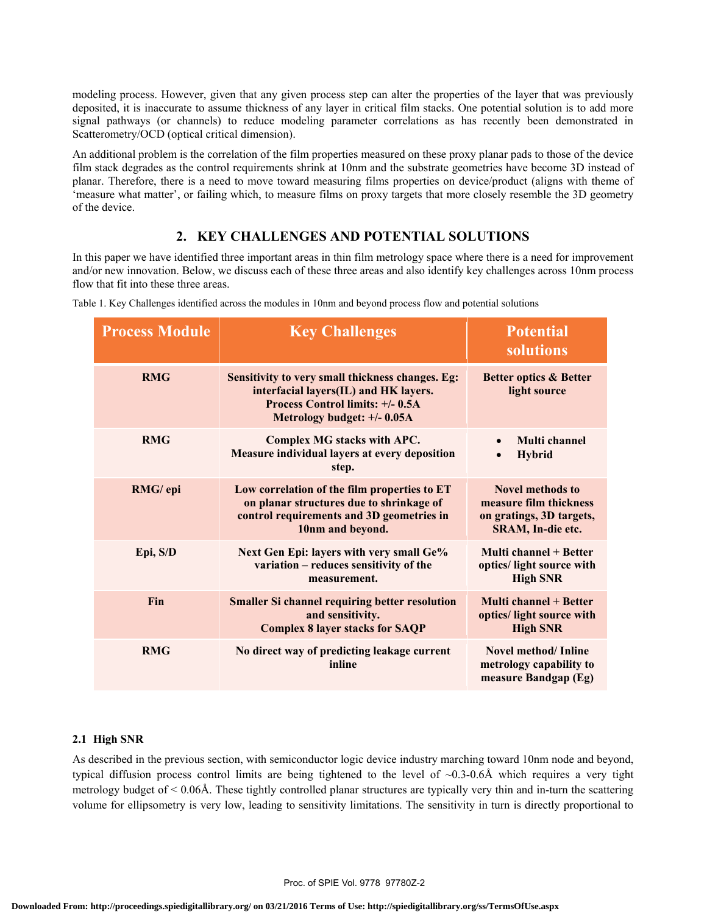modeling process. However, given that any given process step can alter the properties of the layer that was previously deposited, it is inaccurate to assume thickness of any layer in critical film stacks. One potential solution is to add more signal pathways (or channels) to reduce modeling parameter correlations as has recently been demonstrated in Scatterometry/OCD (optical critical dimension).

An additional problem is the correlation of the film properties measured on these proxy planar pads to those of the device film stack degrades as the control requirements shrink at 10nm and the substrate geometries have become 3D instead of planar. Therefore, there is a need to move toward measuring films properties on device/product (aligns with theme of 'measure what matter', or failing which, to measure films on proxy targets that more closely resemble the 3D geometry of the device.

# **2. KEY CHALLENGES AND POTENTIAL SOLUTIONS**

In this paper we have identified three important areas in thin film metrology space where there is a need for improvement and/or new innovation. Below, we discuss each of these three areas and also identify key challenges across 10nm process flow that fit into these three areas.

| <b>Process Module</b> | <b>Key Challenges</b>                                                                                                                                               | <b>Potential</b><br>solutions                                                                      |
|-----------------------|---------------------------------------------------------------------------------------------------------------------------------------------------------------------|----------------------------------------------------------------------------------------------------|
| <b>RMG</b>            | Sensitivity to very small thickness changes. Eg:<br>interfacial layers(IL) and HK layers.<br><b>Process Control limits: +/- 0.5A</b><br>Metrology budget: +/- 0.05A | <b>Better optics &amp; Better</b><br>light source                                                  |
| <b>RMG</b>            | <b>Complex MG stacks with APC.</b><br>Measure individual layers at every deposition<br>step.                                                                        | <b>Multi</b> channel<br>$\bullet$<br><b>Hybrid</b><br>$\bullet$                                    |
| RMG/ epi              | Low correlation of the film properties to ET<br>on planar structures due to shrinkage of<br>control requirements and 3D geometries in<br>10nm and beyond.           | <b>Novel methods to</b><br>measure film thickness<br>on gratings, 3D targets,<br>SRAM, In-die etc. |
| Epi, S/D              | Next Gen Epi: layers with very small Ge%<br>variation – reduces sensitivity of the<br>measurement.                                                                  | Multi channel + Better<br>optics/ light source with<br><b>High SNR</b>                             |
| <b>Fin</b>            | <b>Smaller Si channel requiring better resolution</b><br>and sensitivity.<br><b>Complex 8 layer stacks for SAQP</b>                                                 | Multi channel + Better<br>optics/ light source with<br><b>High SNR</b>                             |
| <b>RMG</b>            | No direct way of predicting leakage current<br>inline                                                                                                               | <b>Novel method/Inline</b><br>metrology capability to<br>measure Bandgap (Eg)                      |

Table 1. Key Challenges identified across the modules in 10nm and beyond process flow and potential solutions

## **2.1 High SNR**

As described in the previous section, with semiconductor logic device industry marching toward 10nm node and beyond, typical diffusion process control limits are being tightened to the level of  $\sim 0.3{\text -}0.6$ Å which requires a very tight metrology budget of  $\leq 0.06$ Å. These tightly controlled planar structures are typically very thin and in-turn the scattering volume for ellipsometry is very low, leading to sensitivity limitations. The sensitivity in turn is directly proportional to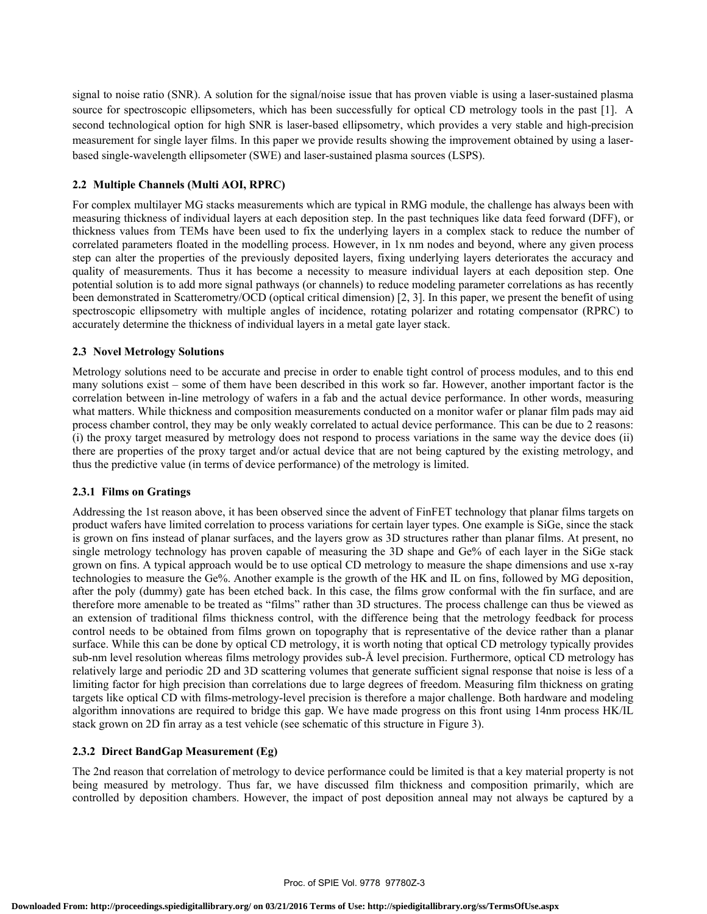signal to noise ratio (SNR). A solution for the signal/noise issue that has proven viable is using a laser-sustained plasma source for spectroscopic ellipsometers, which has been successfully for optical CD metrology tools in the past [1]. A second technological option for high SNR is laser-based ellipsometry, which provides a very stable and high-precision measurement for single layer films. In this paper we provide results showing the improvement obtained by using a laserbased single-wavelength ellipsometer (SWE) and laser-sustained plasma sources (LSPS).

#### **2.2 Multiple Channels (Multi AOI, RPRC)**

For complex multilayer MG stacks measurements which are typical in RMG module, the challenge has always been with measuring thickness of individual layers at each deposition step. In the past techniques like data feed forward (DFF), or thickness values from TEMs have been used to fix the underlying layers in a complex stack to reduce the number of correlated parameters floated in the modelling process. However, in 1x nm nodes and beyond, where any given process step can alter the properties of the previously deposited layers, fixing underlying layers deteriorates the accuracy and quality of measurements. Thus it has become a necessity to measure individual layers at each deposition step. One potential solution is to add more signal pathways (or channels) to reduce modeling parameter correlations as has recently been demonstrated in Scatterometry/OCD (optical critical dimension) [2, 3]. In this paper, we present the benefit of using spectroscopic ellipsometry with multiple angles of incidence, rotating polarizer and rotating compensator (RPRC) to accurately determine the thickness of individual layers in a metal gate layer stack.

#### **2.3 Novel Metrology Solutions**

Metrology solutions need to be accurate and precise in order to enable tight control of process modules, and to this end many solutions exist – some of them have been described in this work so far. However, another important factor is the correlation between in-line metrology of wafers in a fab and the actual device performance. In other words, measuring what matters. While thickness and composition measurements conducted on a monitor wafer or planar film pads may aid process chamber control, they may be only weakly correlated to actual device performance. This can be due to 2 reasons: (i) the proxy target measured by metrology does not respond to process variations in the same way the device does (ii) there are properties of the proxy target and/or actual device that are not being captured by the existing metrology, and thus the predictive value (in terms of device performance) of the metrology is limited.

#### **2.3.1 Films on Gratings**

Addressing the 1st reason above, it has been observed since the advent of FinFET technology that planar films targets on product wafers have limited correlation to process variations for certain layer types. One example is SiGe, since the stack is grown on fins instead of planar surfaces, and the layers grow as 3D structures rather than planar films. At present, no single metrology technology has proven capable of measuring the 3D shape and Ge% of each layer in the SiGe stack grown on fins. A typical approach would be to use optical CD metrology to measure the shape dimensions and use x-ray technologies to measure the Ge%. Another example is the growth of the HK and IL on fins, followed by MG deposition, after the poly (dummy) gate has been etched back. In this case, the films grow conformal with the fin surface, and are therefore more amenable to be treated as "films" rather than 3D structures. The process challenge can thus be viewed as an extension of traditional films thickness control, with the difference being that the metrology feedback for process control needs to be obtained from films grown on topography that is representative of the device rather than a planar surface. While this can be done by optical CD metrology, it is worth noting that optical CD metrology typically provides sub-nm level resolution whereas films metrology provides sub-Å level precision. Furthermore, optical CD metrology has relatively large and periodic 2D and 3D scattering volumes that generate sufficient signal response that noise is less of a limiting factor for high precision than correlations due to large degrees of freedom. Measuring film thickness on grating targets like optical CD with films-metrology-level precision is therefore a major challenge. Both hardware and modeling algorithm innovations are required to bridge this gap. We have made progress on this front using 14nm process HK/IL stack grown on 2D fin array as a test vehicle (see schematic of this structure in Figure 3).

#### **2.3.2 Direct BandGap Measurement (Eg)**

The 2nd reason that correlation of metrology to device performance could be limited is that a key material property is not being measured by metrology. Thus far, we have discussed film thickness and composition primarily, which are controlled by deposition chambers. However, the impact of post deposition anneal may not always be captured by a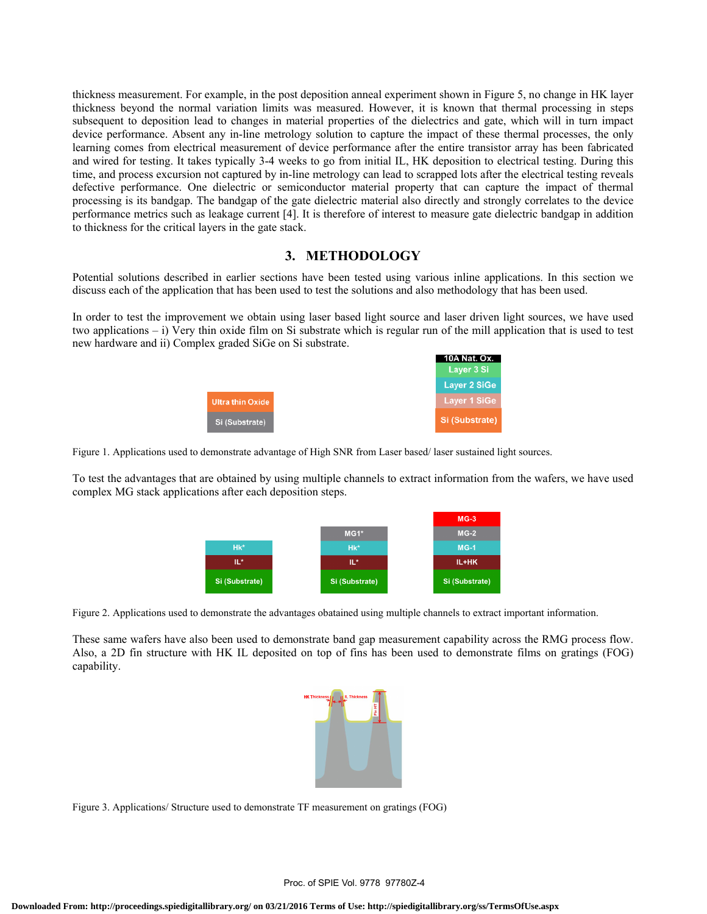thickness measurement. For example, in the post deposition anneal experiment shown in Figure 5, no change in HK layer thickness beyond the normal variation limits was measured. However, it is known that thermal processing in steps subsequent to deposition lead to changes in material properties of the dielectrics and gate, which will in turn impact device performance. Absent any in-line metrology solution to capture the impact of these thermal processes, the only learning comes from electrical measurement of device performance after the entire transistor array has been fabricated and wired for testing. It takes typically 3-4 weeks to go from initial IL, HK deposition to electrical testing. During this time, and process excursion not captured by in-line metrology can lead to scrapped lots after the electrical testing reveals defective performance. One dielectric or semiconductor material property that can capture the impact of thermal processing is its bandgap. The bandgap of the gate dielectric material also directly and strongly correlates to the device performance metrics such as leakage current [4]. It is therefore of interest to measure gate dielectric bandgap in addition to thickness for the critical layers in the gate stack.

## **3. METHODOLOGY**

Potential solutions described in earlier sections have been tested using various inline applications. In this section we discuss each of the application that has been used to test the solutions and also methodology that has been used.

In order to test the improvement we obtain using laser based light source and laser driven light sources, we have used two applications – i) Very thin oxide film on Si substrate which is regular run of the mill application that is used to test new hardware and ii) Complex graded SiGe on Si substrate.



Figure 1. Applications used to demonstrate advantage of High SNR from Laser based/ laser sustained light sources.

To test the advantages that are obtained by using multiple channels to extract information from the wafers, we have used complex MG stack applications after each deposition steps.



Figure 2. Applications used to demonstrate the advantages obatained using multiple channels to extract important information.

These same wafers have also been used to demonstrate band gap measurement capability across the RMG process flow. Also, a 2D fin structure with HK IL deposited on top of fins has been used to demonstrate films on gratings (FOG) capability.



Figure 3. Applications/ Structure used to demonstrate TF measurement on gratings (FOG)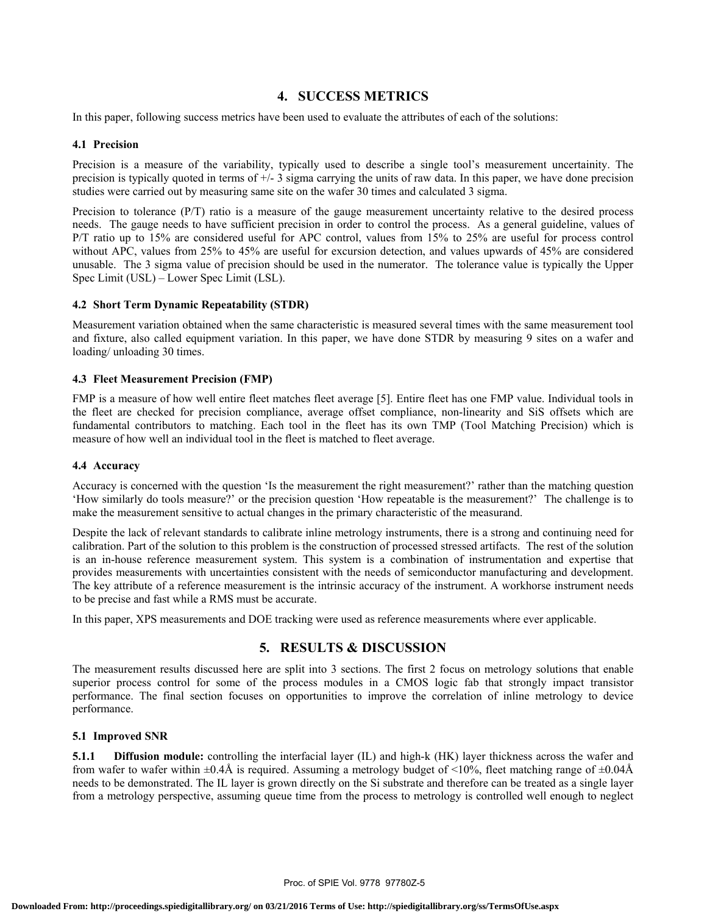# **4. SUCCESS METRICS**

In this paper, following success metrics have been used to evaluate the attributes of each of the solutions:

#### **4.1 Precision**

Precision is a measure of the variability, typically used to describe a single tool's measurement uncertainity. The precision is typically quoted in terms of  $+/- 3$  sigma carrying the units of raw data. In this paper, we have done precision studies were carried out by measuring same site on the wafer 30 times and calculated 3 sigma.

Precision to tolerance (P/T) ratio is a measure of the gauge measurement uncertainty relative to the desired process needs. The gauge needs to have sufficient precision in order to control the process. As a general guideline, values of P/T ratio up to 15% are considered useful for APC control, values from 15% to 25% are useful for process control without APC, values from 25% to 45% are useful for excursion detection, and values upwards of 45% are considered unusable. The 3 sigma value of precision should be used in the numerator. The tolerance value is typically the Upper Spec Limit (USL) – Lower Spec Limit (LSL).

## **4.2 Short Term Dynamic Repeatability (STDR)**

Measurement variation obtained when the same characteristic is measured several times with the same measurement tool and fixture, also called equipment variation. In this paper, we have done STDR by measuring 9 sites on a wafer and loading/ unloading 30 times.

#### **4.3 Fleet Measurement Precision (FMP)**

FMP is a measure of how well entire fleet matches fleet average [5]. Entire fleet has one FMP value. Individual tools in the fleet are checked for precision compliance, average offset compliance, non-linearity and SiS offsets which are fundamental contributors to matching. Each tool in the fleet has its own TMP (Tool Matching Precision) which is measure of how well an individual tool in the fleet is matched to fleet average.

#### **4.4 Accuracy**

Accuracy is concerned with the question 'Is the measurement the right measurement?' rather than the matching question 'How similarly do tools measure?' or the precision question 'How repeatable is the measurement?' The challenge is to make the measurement sensitive to actual changes in the primary characteristic of the measurand.

Despite the lack of relevant standards to calibrate inline metrology instruments, there is a strong and continuing need for calibration. Part of the solution to this problem is the construction of processed stressed artifacts. The rest of the solution is an in-house reference measurement system. This system is a combination of instrumentation and expertise that provides measurements with uncertainties consistent with the needs of semiconductor manufacturing and development. The key attribute of a reference measurement is the intrinsic accuracy of the instrument. A workhorse instrument needs to be precise and fast while a RMS must be accurate.

In this paper, XPS measurements and DOE tracking were used as reference measurements where ever applicable.

# **5. RESULTS & DISCUSSION**

The measurement results discussed here are split into 3 sections. The first 2 focus on metrology solutions that enable superior process control for some of the process modules in a CMOS logic fab that strongly impact transistor performance. The final section focuses on opportunities to improve the correlation of inline metrology to device performance.

#### **5.1 Improved SNR**

**5.1.1 Diffusion module:** controlling the interfacial layer (IL) and high-k (HK) layer thickness across the wafer and from wafer to wafer within  $\pm 0.4\text{\AA}$  is required. Assuming a metrology budget of <10%, fleet matching range of  $\pm 0.04\text{\AA}$ needs to be demonstrated. The IL layer is grown directly on the Si substrate and therefore can be treated as a single layer from a metrology perspective, assuming queue time from the process to metrology is controlled well enough to neglect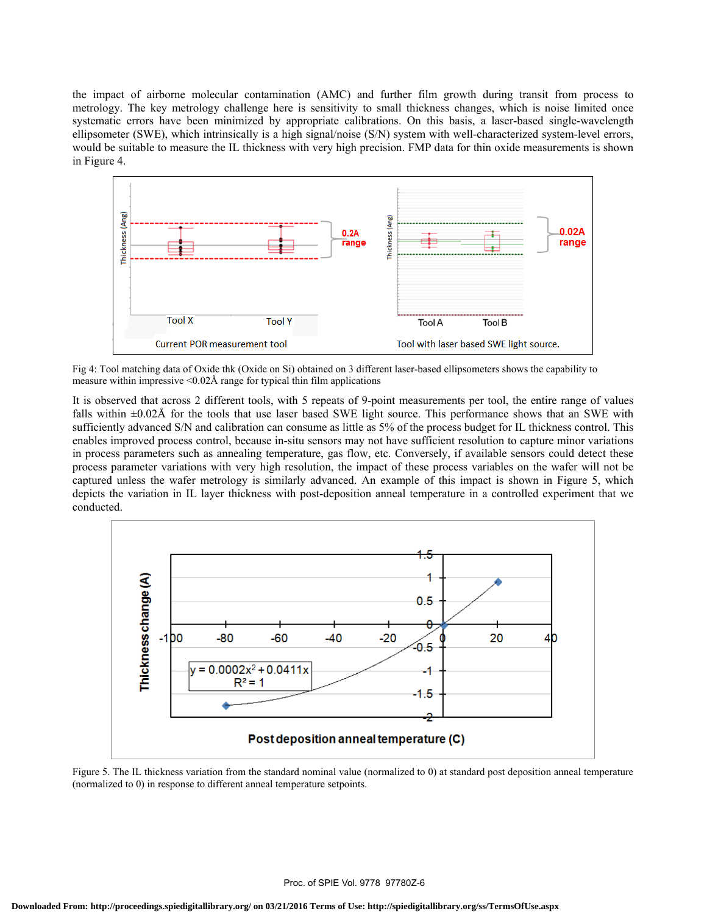the impact of airborne molecular contamination (AMC) and further film growth during transit from process to metrology. The key metrology challenge here is sensitivity to small thickness changes, which is noise limited once systematic errors have been minimized by appropriate calibrations. On this basis, a laser-based single-wavelength ellipsometer (SWE), which intrinsically is a high signal/noise (S/N) system with well-characterized system-level errors, would be suitable to measure the IL thickness with very high precision. FMP data for thin oxide measurements is shown in Figure 4.



Fig 4: Tool matching data of Oxide thk (Oxide on Si) obtained on 3 different laser-based ellipsometers shows the capability to measure within impressive <0.02Å range for typical thin film applications

It is observed that across 2 different tools, with 5 repeats of 9-point measurements per tool, the entire range of values falls within  $\pm 0.02$ Å for the tools that use laser based SWE light source. This performance shows that an SWE with sufficiently advanced S/N and calibration can consume as little as 5% of the process budget for IL thickness control. This enables improved process control, because in-situ sensors may not have sufficient resolution to capture minor variations in process parameters such as annealing temperature, gas flow, etc. Conversely, if available sensors could detect these process parameter variations with very high resolution, the impact of these process variables on the wafer will not be captured unless the wafer metrology is similarly advanced. An example of this impact is shown in Figure 5, which depicts the variation in IL layer thickness with post-deposition anneal temperature in a controlled experiment that we conducted.



Figure 5. The IL thickness variation from the standard nominal value (normalized to 0) at standard post deposition anneal temperature (normalized to 0) in response to different anneal temperature setpoints.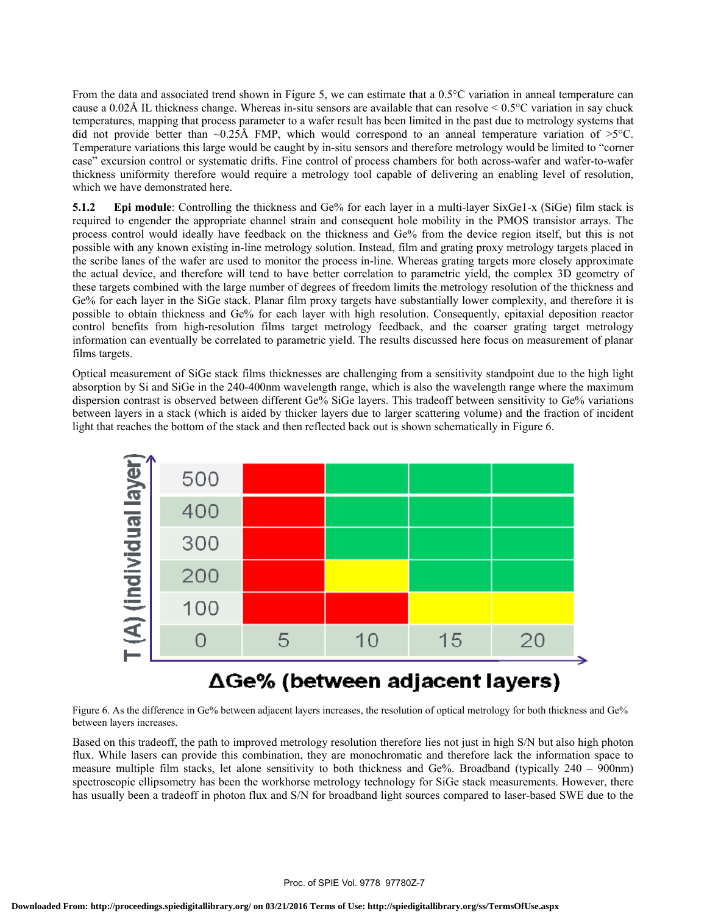From the data and associated trend shown in Figure 5, we can estimate that a 0.5°C variation in anneal temperature can cause a 0.02Å IL thickness change. Whereas in-situ sensors are available that can resolve  $< 0.5^{\circ}$ C variation in say chuck temperatures, mapping that process parameter to a wafer result has been limited in the past due to metrology systems that did not provide better than  $\sim 0.25$ Å FMP, which would correspond to an anneal temperature variation of  $>5^{\circ}$ C. Temperature variations this large would be caught by in-situ sensors and therefore metrology would be limited to "corner case" excursion control or systematic drifts. Fine control of process chambers for both across-wafer and wafer-to-wafer thickness uniformity therefore would require a metrology tool capable of delivering an enabling level of resolution, which we have demonstrated here.

**5.1.2** Epi module: Controlling the thickness and Ge% for each layer in a multi-layer SixGe1-x (SiGe) film stack is required to engender the appropriate channel strain and consequent hole mobility in the PMOS transistor arrays. The process control would ideally have feedback on the thickness and Ge% from the device region itself, but this is not possible with any known existing in-line metrology solution. Instead, film and grating proxy metrology targets placed in the scribe lanes of the wafer are used to monitor the process in-line. Whereas grating targets more closely approximate the actual device, and therefore will tend to have better correlation to parametric yield, the complex 3D geometry of these targets combined with the large number of degrees of freedom limits the metrology resolution of the thickness and Ge% for each layer in the SiGe stack. Planar film proxy targets have substantially lower complexity, and therefore it is possible to obtain thickness and Ge% for each layer with high resolution. Consequently, epitaxial deposition reactor control benefits from high-resolution films target metrology feedback, and the coarser grating target metrology information can eventually be correlated to parametric yield. The results discussed here focus on measurement of planar films targets.

Optical measurement of SiGe stack films thicknesses are challenging from a sensitivity standpoint due to the high light absorption by Si and SiGe in the 240-400nm wavelength range, which is also the wavelength range where the maximum dispersion contrast is observed between different Ge% SiGe layers. This tradeoff between sensitivity to Ge% variations between layers in a stack (which is aided by thicker layers due to larger scattering volume) and the fraction of incident light that reaches the bottom of the stack and then reflected back out is shown schematically in Figure 6.



# $\Delta$ Ge% (between adjacent layers)

Figure 6. As the difference in Ge% between adjacent layers increases, the resolution of optical metrology for both thickness and Ge% between layers increases.

Based on this tradeoff, the path to improved metrology resolution therefore lies not just in high S/N but also high photon flux. While lasers can provide this combination, they are monochromatic and therefore lack the information space to measure multiple film stacks, let alone sensitivity to both thickness and Ge%. Broadband (typically 240 – 900nm) spectroscopic ellipsometry has been the workhorse metrology technology for SiGe stack measurements. However, there has usually been a tradeoff in photon flux and S/N for broadband light sources compared to laser-based SWE due to the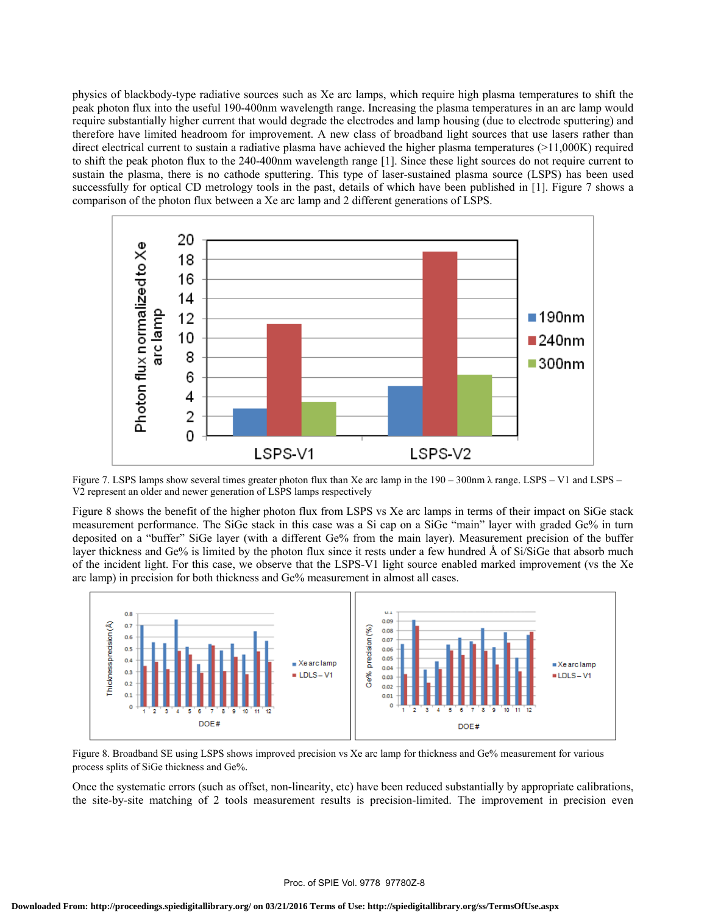physics of blackbody-type radiative sources such as Xe arc lamps, which require high plasma temperatures to shift the peak photon flux into the useful 190-400nm wavelength range. Increasing the plasma temperatures in an arc lamp would require substantially higher current that would degrade the electrodes and lamp housing (due to electrode sputtering) and therefore have limited headroom for improvement. A new class of broadband light sources that use lasers rather than direct electrical current to sustain a radiative plasma have achieved the higher plasma temperatures (>11,000K) required to shift the peak photon flux to the 240-400nm wavelength range [1]. Since these light sources do not require current to sustain the plasma, there is no cathode sputtering. This type of laser-sustained plasma source (LSPS) has been used successfully for optical CD metrology tools in the past, details of which have been published in [1]. Figure 7 shows a comparison of the photon flux between a Xe arc lamp and 2 different generations of LSPS.



Figure 7. LSPS lamps show several times greater photon flux than Xe arc lamp in the 190 – 300nm λ range. LSPS – V1 and LSPS – V2 represent an older and newer generation of LSPS lamps respectively

Figure 8 shows the benefit of the higher photon flux from LSPS vs Xe arc lamps in terms of their impact on SiGe stack measurement performance. The SiGe stack in this case was a Si cap on a SiGe "main" layer with graded Ge% in turn deposited on a "buffer" SiGe layer (with a different Ge% from the main layer). Measurement precision of the buffer layer thickness and Ge% is limited by the photon flux since it rests under a few hundred Å of Si/SiGe that absorb much of the incident light. For this case, we observe that the LSPS-V1 light source enabled marked improvement (vs the Xe arc lamp) in precision for both thickness and Ge% measurement in almost all cases.



Figure 8. Broadband SE using LSPS shows improved precision vs Xe arc lamp for thickness and Ge% measurement for various process splits of SiGe thickness and Ge%.

Once the systematic errors (such as offset, non-linearity, etc) have been reduced substantially by appropriate calibrations, the site-by-site matching of 2 tools measurement results is precision-limited. The improvement in precision even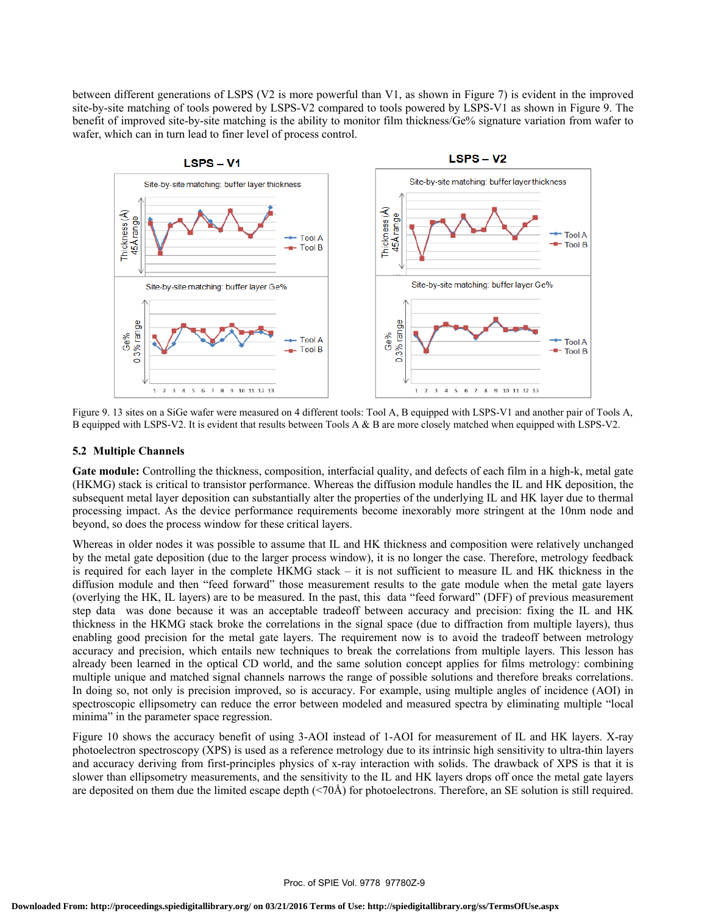between different generations of LSPS (V2 is more powerful than V1, as shown in Figure 7) is evident in the improved site-by-site matching of tools powered by LSPS-V2 compared to tools powered by LSPS-V1 as shown in Figure 9. The benefit of improved site-by-site matching is the ability to monitor film thickness/Ge% signature variation from wafer to wafer, which can in turn lead to finer level of process control.

![](_page_8_Figure_1.jpeg)

Figure 9. 13 sites on a SiGe wafer were measured on 4 different tools: Tool A, B equipped with LSPS-V1 and another pair of Tools A, B equipped with LSPS-V2. It is evident that results between Tools A & B are more closely matched when equipped with LSPS-V2.

#### **5.2 Multiple Channels**

**Gate module:** Controlling the thickness, composition, interfacial quality, and defects of each film in a high-k, metal gate (HKMG) stack is critical to transistor performance. Whereas the diffusion module handles the IL and HK deposition, the subsequent metal layer deposition can substantially alter the properties of the underlying IL and HK layer due to thermal processing impact. As the device performance requirements become inexorably more stringent at the 10nm node and beyond, so does the process window for these critical layers.

Whereas in older nodes it was possible to assume that IL and HK thickness and composition were relatively unchanged by the metal gate deposition (due to the larger process window), it is no longer the case. Therefore, metrology feedback is required for each layer in the complete HKMG stack – it is not sufficient to measure IL and HK thickness in the diffusion module and then "feed forward" those measurement results to the gate module when the metal gate layers (overlying the HK, IL layers) are to be measured. In the past, this data "feed forward" (DFF) of previous measurement step data was done because it was an acceptable tradeoff between accuracy and precision: fixing the IL and HK thickness in the HKMG stack broke the correlations in the signal space (due to diffraction from multiple layers), thus enabling good precision for the metal gate layers. The requirement now is to avoid the tradeoff between metrology accuracy and precision, which entails new techniques to break the correlations from multiple layers. This lesson has already been learned in the optical CD world, and the same solution concept applies for films metrology: combining multiple unique and matched signal channels narrows the range of possible solutions and therefore breaks correlations. In doing so, not only is precision improved, so is accuracy. For example, using multiple angles of incidence (AOI) in spectroscopic ellipsometry can reduce the error between modeled and measured spectra by eliminating multiple "local minima" in the parameter space regression.

Figure 10 shows the accuracy benefit of using 3-AOI instead of 1-AOI for measurement of IL and HK layers. X-ray photoelectron spectroscopy (XPS) is used as a reference metrology due to its intrinsic high sensitivity to ultra-thin layers and accuracy deriving from first-principles physics of x-ray interaction with solids. The drawback of XPS is that it is slower than ellipsometry measurements, and the sensitivity to the IL and HK layers drops off once the metal gate layers are deposited on them due the limited escape depth  $(\leq 70\text{\AA})$  for photoelectrons. Therefore, an SE solution is still required.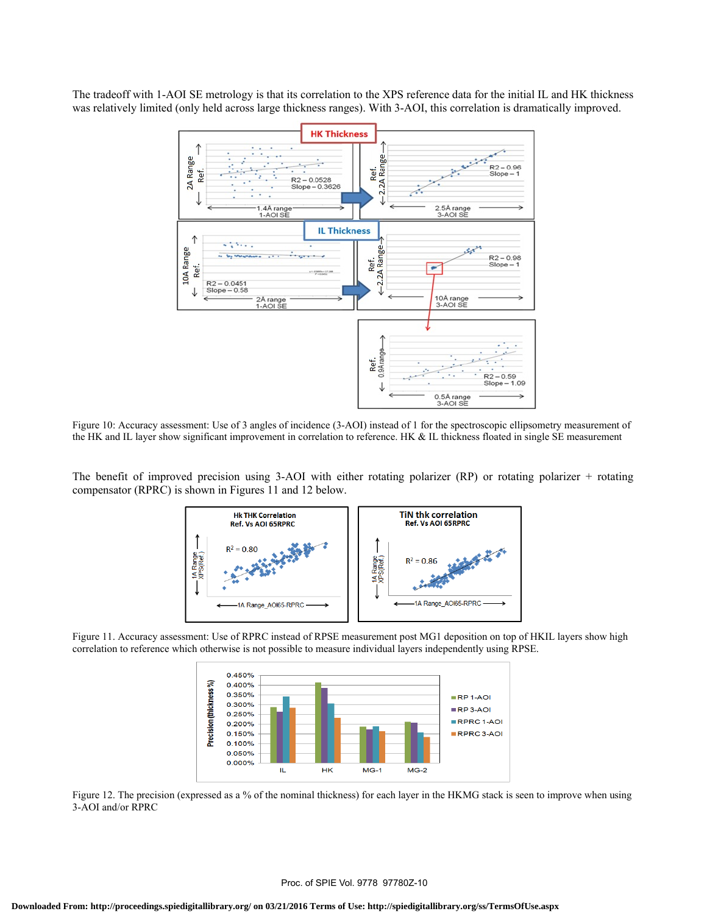The tradeoff with 1-AOI SE metrology is that its correlation to the XPS reference data for the initial IL and HK thickness was relatively limited (only held across large thickness ranges). With 3-AOI, this correlation is dramatically improved.

![](_page_9_Figure_1.jpeg)

Figure 10: Accuracy assessment: Use of 3 angles of incidence (3-AOI) instead of 1 for the spectroscopic ellipsometry measurement of the HK and IL layer show significant improvement in correlation to reference. HK & IL thickness floated in single SE measurement

The benefit of improved precision using 3-AOI with either rotating polarizer (RP) or rotating polarizer + rotating compensator (RPRC) is shown in Figures 11 and 12 below.

![](_page_9_Figure_4.jpeg)

Figure 11. Accuracy assessment: Use of RPRC instead of RPSE measurement post MG1 deposition on top of HKIL layers show high correlation to reference which otherwise is not possible to measure individual layers independently using RPSE.

![](_page_9_Figure_6.jpeg)

Figure 12. The precision (expressed as a % of the nominal thickness) for each layer in the HKMG stack is seen to improve when using 3-AOI and/or RPRC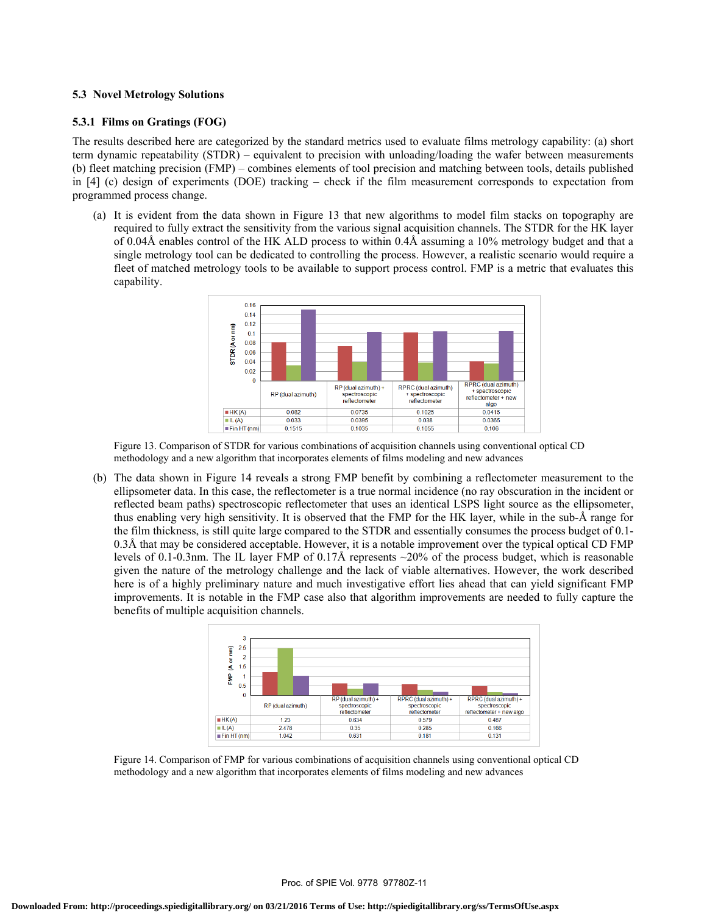#### **5.3 Novel Metrology Solutions**

#### **5.3.1 Films on Gratings (FOG)**

The results described here are categorized by the standard metrics used to evaluate films metrology capability: (a) short term dynamic repeatability (STDR) – equivalent to precision with unloading/loading the wafer between measurements (b) fleet matching precision (FMP) – combines elements of tool precision and matching between tools, details published in [4] (c) design of experiments (DOE) tracking – check if the film measurement corresponds to expectation from programmed process change.

(a) It is evident from the data shown in Figure 13 that new algorithms to model film stacks on topography are required to fully extract the sensitivity from the various signal acquisition channels. The STDR for the HK layer of 0.04Å enables control of the HK ALD process to within 0.4Å assuming a 10% metrology budget and that a single metrology tool can be dedicated to controlling the process. However, a realistic scenario would require a fleet of matched metrology tools to be available to support process control. FMP is a metric that evaluates this capability.

![](_page_10_Figure_4.jpeg)

Figure 13. Comparison of STDR for various combinations of acquisition channels using conventional optical CD methodology and a new algorithm that incorporates elements of films modeling and new advances

(b) The data shown in Figure 14 reveals a strong FMP benefit by combining a reflectometer measurement to the ellipsometer data. In this case, the reflectometer is a true normal incidence (no ray obscuration in the incident or reflected beam paths) spectroscopic reflectometer that uses an identical LSPS light source as the ellipsometer, thus enabling very high sensitivity. It is observed that the FMP for the HK layer, while in the sub-Å range for the film thickness, is still quite large compared to the STDR and essentially consumes the process budget of 0.1- 0.3Å that may be considered acceptable. However, it is a notable improvement over the typical optical CD FMP levels of 0.1-0.3nm. The IL layer FMP of 0.17Å represents  $\sim$ 20% of the process budget, which is reasonable given the nature of the metrology challenge and the lack of viable alternatives. However, the work described here is of a highly preliminary nature and much investigative effort lies ahead that can yield significant FMP improvements. It is notable in the FMP case also that algorithm improvements are needed to fully capture the benefits of multiple acquisition channels.

![](_page_10_Figure_7.jpeg)

Figure 14. Comparison of FMP for various combinations of acquisition channels using conventional optical CD methodology and a new algorithm that incorporates elements of films modeling and new advances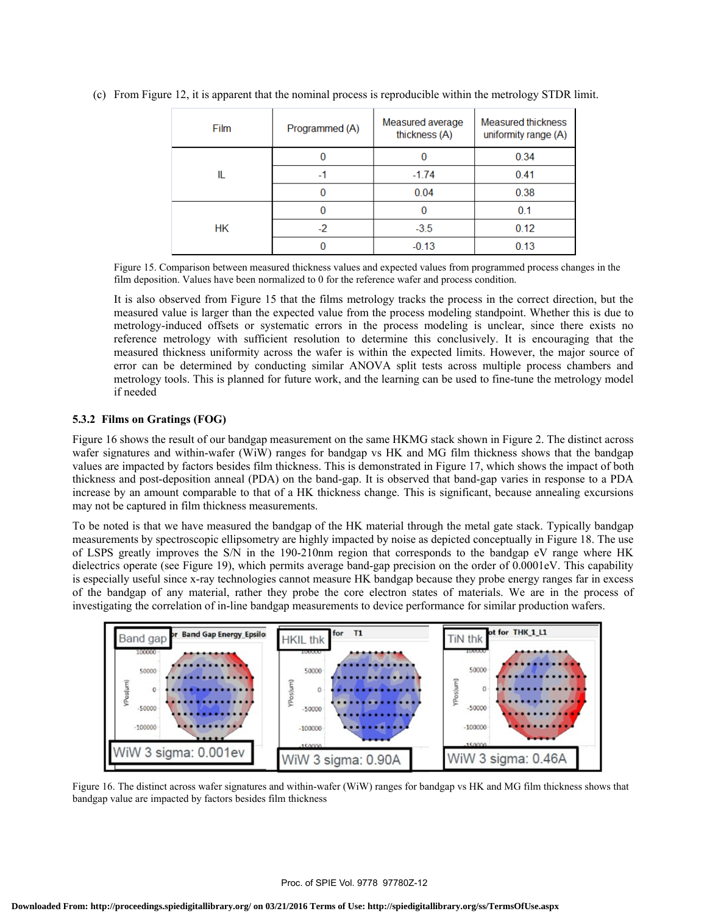| Film | Programmed (A) | Measured average<br>thickness (A) | <b>Measured thickness</b><br>uniformity range (A) |
|------|----------------|-----------------------------------|---------------------------------------------------|
|      |                |                                   | 0.34                                              |
|      | -1             | $-1.74$                           | 0.41                                              |
|      |                | 0.04                              | 0.38                                              |
| HК   |                |                                   | 0.1                                               |
|      | -2             | $-3.5$                            | 0.12                                              |
|      |                | $-0.13$                           | 0.13                                              |

(c) From Figure 12, it is apparent that the nominal process is reproducible within the metrology STDR limit.

Figure 15. Comparison between measured thickness values and expected values from programmed process changes in the film deposition. Values have been normalized to 0 for the reference wafer and process condition.

It is also observed from Figure 15 that the films metrology tracks the process in the correct direction, but the measured value is larger than the expected value from the process modeling standpoint. Whether this is due to metrology-induced offsets or systematic errors in the process modeling is unclear, since there exists no reference metrology with sufficient resolution to determine this conclusively. It is encouraging that the measured thickness uniformity across the wafer is within the expected limits. However, the major source of error can be determined by conducting similar ANOVA split tests across multiple process chambers and metrology tools. This is planned for future work, and the learning can be used to fine-tune the metrology model if needed

# **5.3.2 Films on Gratings (FOG)**

Figure 16 shows the result of our bandgap measurement on the same HKMG stack shown in Figure 2. The distinct across wafer signatures and within-wafer (WiW) ranges for bandgap vs HK and MG film thickness shows that the bandgap values are impacted by factors besides film thickness. This is demonstrated in Figure 17, which shows the impact of both thickness and post-deposition anneal (PDA) on the band-gap. It is observed that band-gap varies in response to a PDA increase by an amount comparable to that of a HK thickness change. This is significant, because annealing excursions may not be captured in film thickness measurements.

To be noted is that we have measured the bandgap of the HK material through the metal gate stack. Typically bandgap measurements by spectroscopic ellipsometry are highly impacted by noise as depicted conceptually in Figure 18. The use of LSPS greatly improves the S/N in the 190-210nm region that corresponds to the bandgap eV range where HK dielectrics operate (see Figure 19), which permits average band-gap precision on the order of 0.0001eV. This capability is especially useful since x-ray technologies cannot measure HK bandgap because they probe energy ranges far in excess of the bandgap of any material, rather they probe the core electron states of materials. We are in the process of investigating the correlation of in-line bandgap measurements to device performance for similar production wafers.

![](_page_11_Figure_7.jpeg)

Figure 16. The distinct across wafer signatures and within-wafer (WiW) ranges for bandgap vs HK and MG film thickness shows that bandgap value are impacted by factors besides film thickness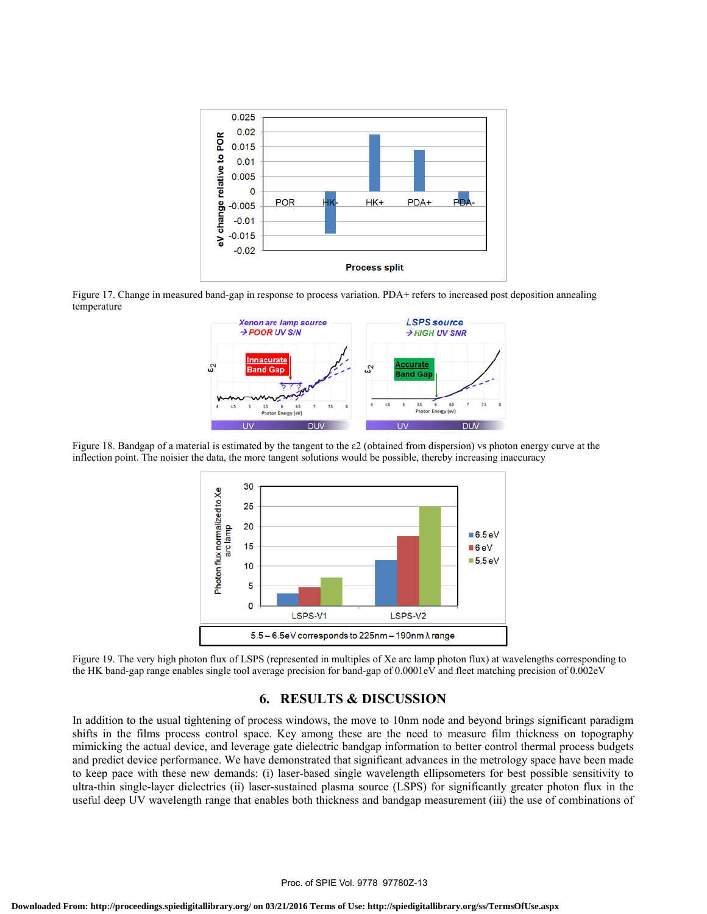![](_page_12_Figure_0.jpeg)

Figure 17. Change in measured band-gap in response to process variation. PDA+ refers to increased post deposition annealing temperature

![](_page_12_Figure_2.jpeg)

Figure 18. Bandgap of a material is estimated by the tangent to the ε2 (obtained from dispersion) vs photon energy curve at the inflection point. The noisier the data, the more tangent solutions would be possible, thereby increasing inaccuracy

![](_page_12_Figure_4.jpeg)

Figure 19. The very high photon flux of LSPS (represented in multiples of Xe arc lamp photon flux) at wavelengths corresponding to the HK band-gap range enables single tool average precision for band-gap of 0.0001eV and fleet matching precision of 0.002eV

# **6. RESULTS & DISCUSSION**

In addition to the usual tightening of process windows, the move to 10nm node and beyond brings significant paradigm shifts in the films process control space. Key among these are the need to measure film thickness on topography mimicking the actual device, and leverage gate dielectric bandgap information to better control thermal process budgets and predict device performance. We have demonstrated that significant advances in the metrology space have been made to keep pace with these new demands: (i) laser-based single wavelength ellipsometers for best possible sensitivity to ultra-thin single-layer dielectrics (ii) laser-sustained plasma source (LSPS) for significantly greater photon flux in the useful deep UV wavelength range that enables both thickness and bandgap measurement (iii) the use of combinations of